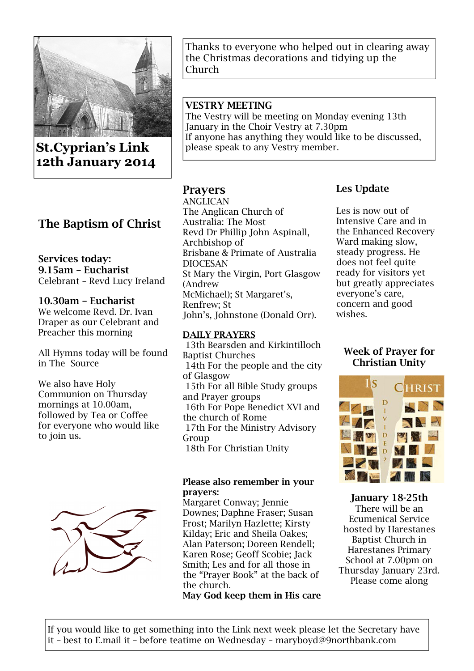

St.Cyprian's Link 12th January 2014

# The Baptism of Christ

### Services today: 9.15am – Eucharist Celebrant – Revd Lucy Ireland

10.30am – Eucharist We welcome Revd. Dr. Ivan Draper as our Celebrant and Preacher this morning

All Hymns today will be found in The Source

We also have Holy Communion on Thursday mornings at 10.00am, followed by Tea or Coffee for everyone who would like to join us.



Thanks to everyone who helped out in clearing away the Christmas decorations and tidying up the Church

## VESTRY MEETING

The Vestry will be meeting on Monday evening 13th January in the Choir Vestry at 7.30pm If anyone has anything they would like to be discussed, please speak to any Vestry member.

# Prayers

ANGLICAN The Anglican Church of Australia: The Most Revd Dr Phillip John Aspinall, Archbishop of Brisbane & Primate of Australia DIOCESAN St Mary the Virgin, Port Glasgow (Andrew McMichael); St Margaret's, Renfrew; St John's, Johnstone (Donald Orr).

### DAILY PRAYERS

 13th Bearsden and Kirkintilloch Baptist Churches 14th For the people and the city of Glasgow 15th For all Bible Study groups and Prayer groups 16th For Pope Benedict XVI and the church of Rome 17th For the Ministry Advisory Group 18th For Christian Unity

### Please also remember in your prayers:

Margaret Conway; Jennie Downes; Daphne Fraser; Susan Frost; Marilyn Hazlette; Kirsty Kilday; Eric and Sheila Oakes; Alan Paterson; Doreen Rendell; Karen Rose; Geoff Scobie; Jack Smith; Les and for all those in the "Prayer Book" at the back of the church.

May God keep them in His care

## Les Update

Les is now out of Intensive Care and in the Enhanced Recovery Ward making slow, steady progress. He does not feel quite ready for visitors yet but greatly appreciates everyone's care, concern and good wishes.

## Week of Prayer for Christian Unity



January 18-25th There will be an Ecumenical Service hosted by Harestanes Baptist Church in Harestanes Primary School at 7.00pm on Thursday January 23rd. Please come along

If you would like to get something into the Link next week please let the Secretary have it – best to E.mail it – before teatime on Wednesday – maryboyd@9northbank.com